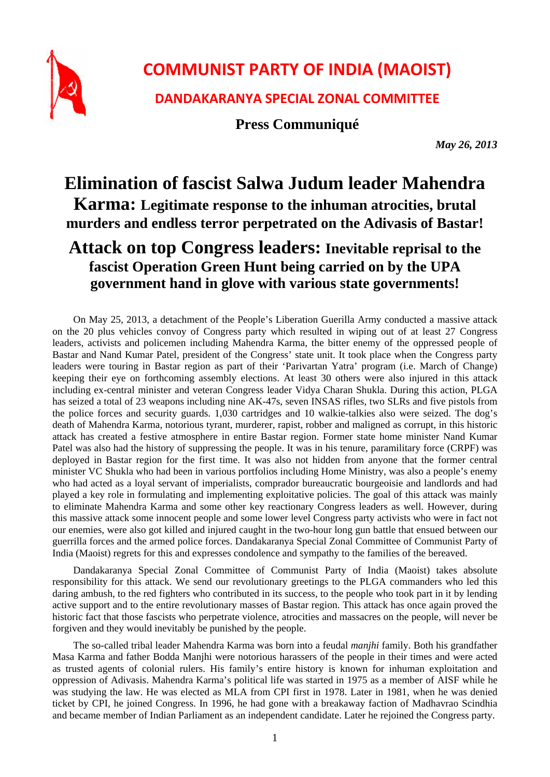

## **COMMUNIST PARTY OF INDIA (MAOIST)**

**DANDAKARANYA SPECIAL ZONAL COMMITTEE**

**Press Communiqué**

*May 26, 2013* 

## **Elimination of fascist Salwa Judum leader Mahendra Karma: Legitimate response to the inhuman atrocities, brutal murders and endless terror perpetrated on the Adivasis of Bastar!**

## **Attack on top Congress leaders: Inevitable reprisal to the fascist Operation Green Hunt being carried on by the UPA government hand in glove with various state governments!**

On May 25, 2013, a detachment of the People's Liberation Guerilla Army conducted a massive attack on the 20 plus vehicles convoy of Congress party which resulted in wiping out of at least 27 Congress leaders, activists and policemen including Mahendra Karma, the bitter enemy of the oppressed people of Bastar and Nand Kumar Patel, president of the Congress' state unit. It took place when the Congress party leaders were touring in Bastar region as part of their 'Parivartan Yatra' program (i.e. March of Change) keeping their eye on forthcoming assembly elections. At least 30 others were also injured in this attack including ex-central minister and veteran Congress leader Vidya Charan Shukla. During this action, PLGA has seized a total of 23 weapons including nine AK-47s, seven INSAS rifles, two SLRs and five pistols from the police forces and security guards. 1,030 cartridges and 10 walkie-talkies also were seized. The dog's death of Mahendra Karma, notorious tyrant, murderer, rapist, robber and maligned as corrupt, in this historic attack has created a festive atmosphere in entire Bastar region. Former state home minister Nand Kumar Patel was also had the history of suppressing the people. It was in his tenure, paramilitary force (CRPF) was deployed in Bastar region for the first time. It was also not hidden from anyone that the former central minister VC Shukla who had been in various portfolios including Home Ministry, was also a people's enemy who had acted as a loyal servant of imperialists, comprador bureaucratic bourgeoisie and landlords and had played a key role in formulating and implementing exploitative policies. The goal of this attack was mainly to eliminate Mahendra Karma and some other key reactionary Congress leaders as well. However, during this massive attack some innocent people and some lower level Congress party activists who were in fact not our enemies, were also got killed and injured caught in the two-hour long gun battle that ensued between our guerrilla forces and the armed police forces. Dandakaranya Special Zonal Committee of Communist Party of India (Maoist) regrets for this and expresses condolence and sympathy to the families of the bereaved.

Dandakaranya Special Zonal Committee of Communist Party of India (Maoist) takes absolute responsibility for this attack. We send our revolutionary greetings to the PLGA commanders who led this daring ambush, to the red fighters who contributed in its success, to the people who took part in it by lending active support and to the entire revolutionary masses of Bastar region. This attack has once again proved the historic fact that those fascists who perpetrate violence, atrocities and massacres on the people, will never be forgiven and they would inevitably be punished by the people.

The so-called tribal leader Mahendra Karma was born into a feudal *manjhi* family. Both his grandfather Masa Karma and father Bodda Manjhi were notorious harassers of the people in their times and were acted as trusted agents of colonial rulers. His family's entire history is known for inhuman exploitation and oppression of Adivasis. Mahendra Karma's political life was started in 1975 as a member of AISF while he was studying the law. He was elected as MLA from CPI first in 1978. Later in 1981, when he was denied ticket by CPI, he joined Congress. In 1996, he had gone with a breakaway faction of Madhavrao Scindhia and became member of Indian Parliament as an independent candidate. Later he rejoined the Congress party.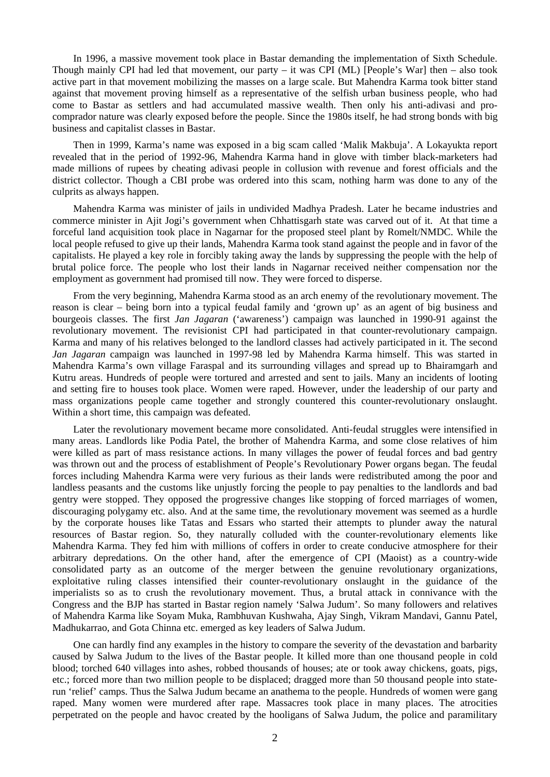In 1996, a massive movement took place in Bastar demanding the implementation of Sixth Schedule. Though mainly CPI had led that movement, our party – it was CPI ( $ML$ ) [People's War] then – also took active part in that movement mobilizing the masses on a large scale. But Mahendra Karma took bitter stand against that movement proving himself as a representative of the selfish urban business people, who had come to Bastar as settlers and had accumulated massive wealth. Then only his anti-adivasi and procomprador nature was clearly exposed before the people. Since the 1980s itself, he had strong bonds with big business and capitalist classes in Bastar.

Then in 1999, Karma's name was exposed in a big scam called 'Malik Makbuja'. A Lokayukta report revealed that in the period of 1992-96, Mahendra Karma hand in glove with timber black-marketers had made millions of rupees by cheating adivasi people in collusion with revenue and forest officials and the district collector. Though a CBI probe was ordered into this scam, nothing harm was done to any of the culprits as always happen.

Mahendra Karma was minister of jails in undivided Madhya Pradesh. Later he became industries and commerce minister in Ajit Jogi's government when Chhattisgarh state was carved out of it. At that time a forceful land acquisition took place in Nagarnar for the proposed steel plant by Romelt/NMDC. While the local people refused to give up their lands, Mahendra Karma took stand against the people and in favor of the capitalists. He played a key role in forcibly taking away the lands by suppressing the people with the help of brutal police force. The people who lost their lands in Nagarnar received neither compensation nor the employment as government had promised till now. They were forced to disperse.

From the very beginning, Mahendra Karma stood as an arch enemy of the revolutionary movement. The reason is clear – being born into a typical feudal family and 'grown up' as an agent of big business and bourgeois classes. The first *Jan Jagaran* ('awareness') campaign was launched in 1990-91 against the revolutionary movement. The revisionist CPI had participated in that counter-revolutionary campaign. Karma and many of his relatives belonged to the landlord classes had actively participated in it. The second *Jan Jagaran* campaign was launched in 1997-98 led by Mahendra Karma himself. This was started in Mahendra Karma's own village Faraspal and its surrounding villages and spread up to Bhairamgarh and Kutru areas. Hundreds of people were tortured and arrested and sent to jails. Many an incidents of looting and setting fire to houses took place. Women were raped. However, under the leadership of our party and mass organizations people came together and strongly countered this counter-revolutionary onslaught. Within a short time, this campaign was defeated.

Later the revolutionary movement became more consolidated. Anti-feudal struggles were intensified in many areas. Landlords like Podia Patel, the brother of Mahendra Karma, and some close relatives of him were killed as part of mass resistance actions. In many villages the power of feudal forces and bad gentry was thrown out and the process of establishment of People's Revolutionary Power organs began. The feudal forces including Mahendra Karma were very furious as their lands were redistributed among the poor and landless peasants and the customs like unjustly forcing the people to pay penalties to the landlords and bad gentry were stopped. They opposed the progressive changes like stopping of forced marriages of women, discouraging polygamy etc. also. And at the same time, the revolutionary movement was seemed as a hurdle by the corporate houses like Tatas and Essars who started their attempts to plunder away the natural resources of Bastar region. So, they naturally colluded with the counter-revolutionary elements like Mahendra Karma. They fed him with millions of coffers in order to create conducive atmosphere for their arbitrary depredations. On the other hand, after the emergence of CPI (Maoist) as a country-wide consolidated party as an outcome of the merger between the genuine revolutionary organizations, exploitative ruling classes intensified their counter-revolutionary onslaught in the guidance of the imperialists so as to crush the revolutionary movement. Thus, a brutal attack in connivance with the Congress and the BJP has started in Bastar region namely 'Salwa Judum'. So many followers and relatives of Mahendra Karma like Soyam Muka, Rambhuvan Kushwaha, Ajay Singh, Vikram Mandavi, Gannu Patel, Madhukarrao, and Gota Chinna etc. emerged as key leaders of Salwa Judum.

One can hardly find any examples in the history to compare the severity of the devastation and barbarity caused by Salwa Judum to the lives of the Bastar people. It killed more than one thousand people in cold blood; torched 640 villages into ashes, robbed thousands of houses; ate or took away chickens, goats, pigs, etc.; forced more than two million people to be displaced; dragged more than 50 thousand people into staterun 'relief' camps. Thus the Salwa Judum became an anathema to the people. Hundreds of women were gang raped. Many women were murdered after rape. Massacres took place in many places. The atrocities perpetrated on the people and havoc created by the hooligans of Salwa Judum, the police and paramilitary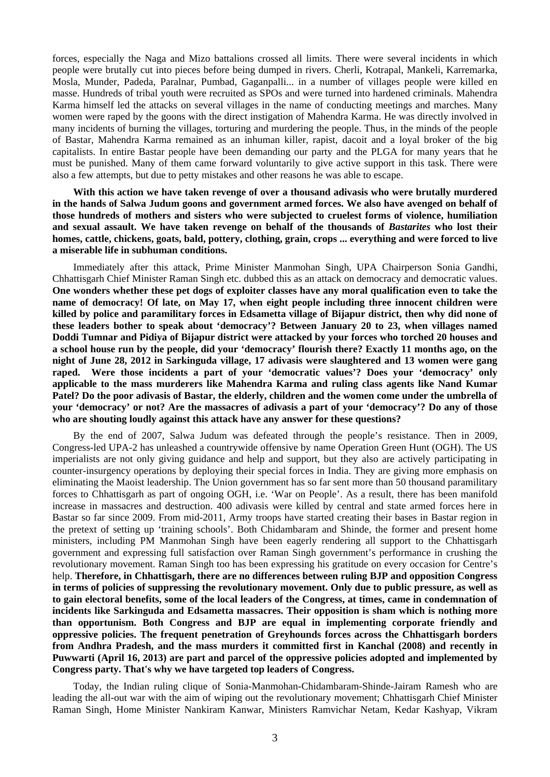forces, especially the Naga and Mizo battalions crossed all limits. There were several incidents in which people were brutally cut into pieces before being dumped in rivers. Cherli, Kotrapal, Mankeli, Karremarka, Mosla, Munder, Padeda, Paralnar, Pumbad, Gaganpalli... in a number of villages people were killed en masse. Hundreds of tribal youth were recruited as SPOs and were turned into hardened criminals. Mahendra Karma himself led the attacks on several villages in the name of conducting meetings and marches. Many women were raped by the goons with the direct instigation of Mahendra Karma. He was directly involved in many incidents of burning the villages, torturing and murdering the people. Thus, in the minds of the people of Bastar, Mahendra Karma remained as an inhuman killer, rapist, dacoit and a loyal broker of the big capitalists. In entire Bastar people have been demanding our party and the PLGA for many years that he must be punished. Many of them came forward voluntarily to give active support in this task. There were also a few attempts, but due to petty mistakes and other reasons he was able to escape.

**With this action we have taken revenge of over a thousand adivasis who were brutally murdered in the hands of Salwa Judum goons and government armed forces. We also have avenged on behalf of those hundreds of mothers and sisters who were subjected to cruelest forms of violence, humiliation and sexual assault. We have taken revenge on behalf of the thousands of** *Bastarites* **who lost their homes, cattle, chickens, goats, bald, pottery, clothing, grain, crops ... everything and were forced to live a miserable life in subhuman conditions.** 

Immediately after this attack, Prime Minister Manmohan Singh, UPA Chairperson Sonia Gandhi, Chhattisgarh Chief Minister Raman Singh etc. dubbed this as an attack on democracy and democratic values. **One wonders whether these pet dogs of exploiter classes have any moral qualification even to take the name of democracy! Of late, on May 17, when eight people including three innocent children were killed by police and paramilitary forces in Edsametta village of Bijapur district, then why did none of these leaders bother to speak about 'democracy'? Between January 20 to 23, when villages named Doddi Tumnar and Pidiya of Bijapur district were attacked by your forces who torched 20 houses and a school house run by the people, did your 'democracy' flourish there? Exactly 11 months ago, on the night of June 28, 2012 in Sarkinguda village, 17 adivasis were slaughtered and 13 women were gang raped. Were those incidents a part of your 'democratic values'? Does your 'democracy' only applicable to the mass murderers like Mahendra Karma and ruling class agents like Nand Kumar Patel? Do the poor adivasis of Bastar, the elderly, children and the women come under the umbrella of your 'democracy' or not? Are the massacres of adivasis a part of your 'democracy'? Do any of those who are shouting loudly against this attack have any answer for these questions?** 

By the end of 2007, Salwa Judum was defeated through the people's resistance. Then in 2009, Congress-led UPA-2 has unleashed a countrywide offensive by name Operation Green Hunt (OGH). The US imperialists are not only giving guidance and help and support, but they also are actively participating in counter-insurgency operations by deploying their special forces in India. They are giving more emphasis on eliminating the Maoist leadership. The Union government has so far sent more than 50 thousand paramilitary forces to Chhattisgarh as part of ongoing OGH, i.e. 'War on People'. As a result, there has been manifold increase in massacres and destruction. 400 adivasis were killed by central and state armed forces here in Bastar so far since 2009. From mid-2011, Army troops have started creating their bases in Bastar region in the pretext of setting up 'training schools'. Both Chidambaram and Shinde, the former and present home ministers, including PM Manmohan Singh have been eagerly rendering all support to the Chhattisgarh government and expressing full satisfaction over Raman Singh government's performance in crushing the revolutionary movement. Raman Singh too has been expressing his gratitude on every occasion for Centre's help. **Therefore, in Chhattisgarh, there are no differences between ruling BJP and opposition Congress in terms of policies of suppressing the revolutionary movement. Only due to public pressure, as well as to gain electoral benefits, some of the local leaders of the Congress, at times, came in condemnation of incidents like Sarkinguda and Edsametta massacres. Their opposition is sham which is nothing more than opportunism. Both Congress and BJP are equal in implementing corporate friendly and oppressive policies. The frequent penetration of Greyhounds forces across the Chhattisgarh borders from Andhra Pradesh, and the mass murders it committed first in Kanchal (2008) and recently in Puwwarti (April 16, 2013) are part and parcel of the oppressive policies adopted and implemented by Congress party. That's why we have targeted top leaders of Congress.** 

Today, the Indian ruling clique of Sonia-Manmohan-Chidambaram-Shinde-Jairam Ramesh who are leading the all-out war with the aim of wiping out the revolutionary movement; Chhattisgarh Chief Minister Raman Singh, Home Minister Nankiram Kanwar, Ministers Ramvichar Netam, Kedar Kashyap, Vikram